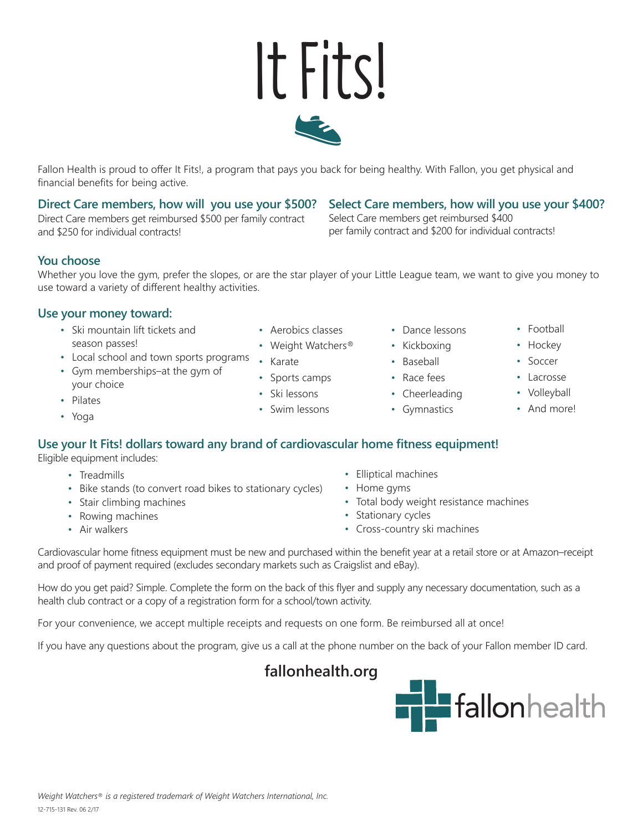## and \$250 for individual contracts!

financial benefits for being active.

**You choose** Whether you love the gym, prefer the slopes, or are the star player of your Little League team, we want to give you money to use toward a variety of different healthy activities.

### **Use your money toward:**

- Ski mountain lift tickets and season passes!
- Local school and town sports programs Karate

**Direct Care members, how will you use your \$500?** Direct Care members get reimbursed \$500 per family contract

- Gym memberships–at the gym of your choice
- Pilates
- Yoga

#### • Sports camps

- Ski lessons
- Swim lessons

• Aerobics classes • Weight Watchers®

- Dance lessons
- Kickboxing

Select Care members get reimbursed \$400

per family contract and \$200 for individual contracts!

- Baseball
- Race fees
- Cheerleading
- Gymnastics

**Select Care members, how will you use your \$400?**

### **Use your It Fits! dollars toward any brand of cardiovascular home fitness equipment!**

Eligible equipment includes:

- Treadmills
- Bike stands (to convert road bikes to stationary cycles)
- Stair climbing machines
- Rowing machines
- Air walkers
- Elliptical machines
- Home gyms
- Total body weight resistance machines
- Stationary cycles
- Cross-country ski machines

Cardiovascular home fitness equipment must be new and purchased within the benefit year at a retail store or at Amazon–receipt and proof of payment required (excludes secondary markets such as Craigslist and eBay).

How do you get paid? Simple. Complete the form on the back of this flyer and supply any necessary documentation, such as a health club contract or a copy of a registration form for a school/town activity.

For your convenience, we accept multiple receipts and requests on one form. Be reimbursed all at once!

If you have any questions about the program, give us a call at the phone number on the back of your Fallon member ID card.

**fallonhealth.org**





It Fits!

Fallon Health is proud to offer It Fits!, a program that pays you back for being healthy. With Fallon, you get physical and



• Hockey • Soccer

• Football

- Lacrosse
- Volleyball
- And more!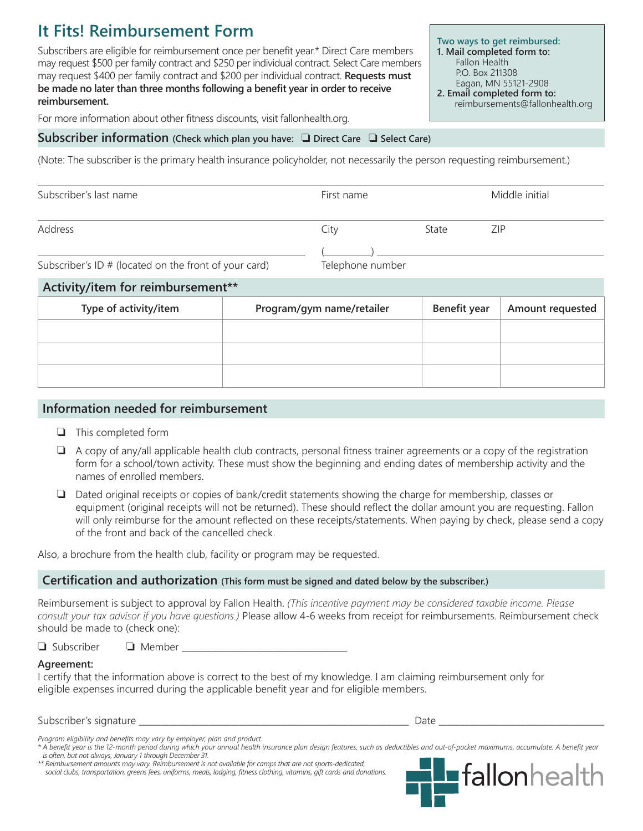### **It Fits! Reimbursement Form**

Subscribers are eligible for reimbursement once per benefit year.\* Direct Care members may request \$500 per family contract and \$250 per individual contract. Select Care members may request \$400 per family contract and \$200 per individual contract. **Requests must be made no later than three months following a benefit year in order to receive reimbursement.**

**Two ways to get reimbursed: 1. Mail completed form to:** Fallon Health P.O. Box 211308 Eagan, MN 55121-2908 **2. Email completed form to:**

reimbursements@fallonhealth.org

For more information about other fitness discounts, visit fallonhealth.org.

#### **Subscriber information** (Check which plan you have:  $\Box$  Direct Care  $\Box$  Select Care)

(Note: The subscriber is the primary health insurance policyholder, not necessarily the person requesting reimbursement.)

| Subscriber's last name                                                                                | First name                                                                                                                                                                                                                      |       | Middle initial |
|-------------------------------------------------------------------------------------------------------|---------------------------------------------------------------------------------------------------------------------------------------------------------------------------------------------------------------------------------|-------|----------------|
| Address                                                                                               | City                                                                                                                                                                                                                            | State | ZIP            |
| $C_1$ $C_2$ $C_3$ $C_4$ $C_5$ $C_6$ $C_7$ $C_8$ $C_9$ $C_1$ $C_2$ $C_3$ $C_4$ $C_5$ $C_7$ $D_8$ $D_9$ | $\tau$ . The contract of the contract of the contract of the contract of the contract of the contract of the contract of the contract of the contract of the contract of the contract of the contract of the contract of the co |       |                |

Subscriber's ID # (located on the front of your card) Telephone number

| Activity/item for reimbursement** |              |                  |  |  |  |
|-----------------------------------|--------------|------------------|--|--|--|
| Program/gym name/retailer         | Benefit year | Amount requested |  |  |  |
|                                   |              |                  |  |  |  |
|                                   |              |                  |  |  |  |
|                                   |              |                  |  |  |  |
|                                   |              |                  |  |  |  |

#### **Information needed for reimbursement**

- $\Box$  This completed form
- $\Box$  A copy of any/all applicable health club contracts, personal fitness trainer agreements or a copy of the registration form for a school/town activity. These must show the beginning and ending dates of membership activity and the names of enrolled members.
- $\Box$  Dated original receipts or copies of bank/credit statements showing the charge for membership, classes or equipment (original receipts will not be returned). These should reflect the dollar amount you are requesting. Fallon will only reimburse for the amount reflected on these receipts/statements. When paying by check, please send a copy of the front and back of the cancelled check.

Also, a brochure from the health club, facility or program may be requested.

#### **Certification and authorization (This form must be signed and dated below by the subscriber.)**

Reimbursement is subject to approval by Fallon Health. *(This incentive payment may be considered taxable income. Please consult your tax advisor if you have questions.)* Please allow 4-6 weeks from receipt for reimbursements. Reimbursement check should be made to (check one):

 $\Box$  Subscriber  $\Box$  Member  $\Box$ 

#### **Agreement:**

I certify that the information above is correct to the best of my knowledge. I am claiming reimbursement only for eligible expenses incurred during the applicable benefit year and for eligible members.

#### Subscriber's signature \_\_\_\_\_\_\_\_\_\_\_\_\_\_\_\_\_\_\_\_\_\_\_\_\_\_\_\_\_\_\_\_\_\_\_\_\_\_\_\_\_\_\_\_\_\_\_\_\_\_\_\_\_\_\_\_\_\_\_\_\_\_ Date \_\_\_\_\_\_\_\_\_\_\_\_\_\_\_\_\_\_\_\_\_\_\_\_\_\_\_\_\_\_\_\_\_\_\_\_\_\_

*\*\* Reimbursement amounts may vary. Reimbursement is not available for camps that are not sports-dedicated, social clubs, transportation, greens fees, uniforms, meals, lodging, fitness clothing, vitamins, gift cards and donations.*



*Program eligibility and benefits may vary by employer, plan and product.*

*<sup>\*</sup> A benefit year is the 12-month period during which your annual health insurance plan design features, such as deductibles and out-of-pocket maximums, accumulate. A benefit year is often, but not always, January 1 through December 31.*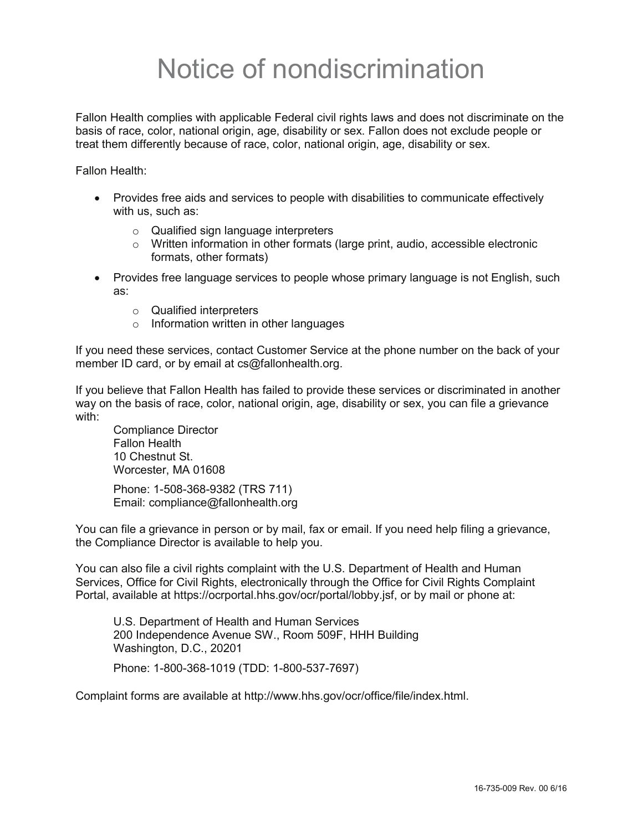# Notice of nondiscrimination

Fallon Health complies with applicable Federal civil rights laws and does not discriminate on the basis of race, color, national origin, age, disability or sex. Fallon does not exclude people or treat them differently because of race, color, national origin, age, disability or sex.

Fallon Health:

- Provides free aids and services to people with disabilities to communicate effectively with us, such as:
	- o Qualified sign language interpreters
	- $\circ$  Written information in other formats (large print, audio, accessible electronic formats, other formats)
- Provides free language services to people whose primary language is not English, such as:
	- o Qualified interpreters
	- o Information written in other languages

If you need these services, contact Customer Service at the phone number on the back of your member ID card, or by email at cs@fallonhealth.org.

If you believe that Fallon Health has failed to provide these services or discriminated in another way on the basis of race, color, national origin, age, disability or sex, you can file a grievance with:

Compliance Director Fallon Health 10 Chestnut St. Worcester, MA 01608

Phone: 1-508-368-9382 (TRS 711) Email: compliance@fallonhealth.org

You can file a grievance in person or by mail, fax or email. If you need help filing a grievance, the Compliance Director is available to help you.

You can also file a civil rights complaint with the U.S. Department of Health and Human Services, Office for Civil Rights, electronically through the Office for Civil Rights Complaint Portal, available at https://ocrportal.hhs.gov/ocr/portal/lobby.jsf, or by mail or phone at:

U.S. Department of Health and Human Services 200 Independence Avenue SW., Room 509F, HHH Building Washington, D.C., 20201

Phone: 1-800-368-1019 (TDD: 1-800-537-7697)

Complaint forms are available at http://www.hhs.gov/ocr/office/file/index.html.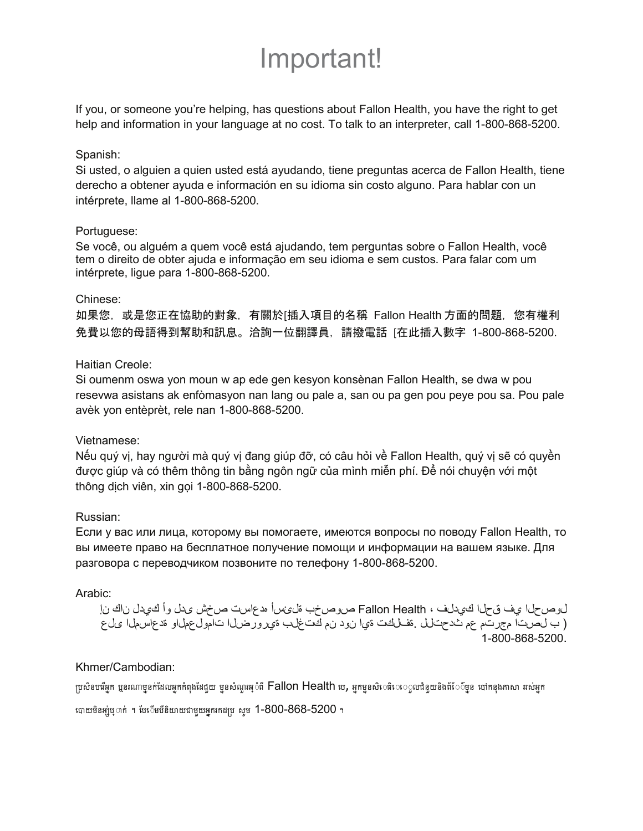# Important!

If you, or someone you're helping, has questions about Fallon Health, you have the right to get help and information in your language at no cost. To talk to an interpreter, call 1-800-868-5200.

#### Spanish:

Si usted, o alguien a quien usted está ayudando, tiene preguntas acerca de Fallon Health, tiene derecho a obtener ayuda e información en su idioma sin costo alguno. Para hablar con un intérprete, llame al 1-800-868-5200.

#### Portuguese:

Se você, ou alguém a quem você está ajudando, tem perguntas sobre o Fallon Health, você tem o direito de obter ajuda e informação em seu idioma e sem custos. Para falar com um intérprete, ligue para 1-800-868-5200.

#### Chinese:

如果您,或是您正在協助的對象,有關於[插入項目的名稱 Fallon Health 方面的問題,您有權利 免費以您的母語得到幫助和訊息。洽詢一位翻譯員,請撥電話 [在此插入數字 1-800-868-5200.

#### Haitian Creole:

Si oumenm oswa yon moun w ap ede gen kesyon konsènan Fallon Health, se dwa w pou resevwa asistans ak enfòmasyon nan lang ou pale a, san ou pa gen pou peye pou sa. Pou pale avèk yon entèprèt, rele nan 1-800-868-5200.

#### Vietnamese:

Nếu quý vị, hay người mà quý vị đang giúp đỡ, có câu hỏi về Fallon Health, quý vị sẽ có quyền được giúp và có thêm thông tin bằng ngôn ngữ của mình miễn phí. Để nói chuyện với một thông dich viên, xin gọi 1-800-868-5200.

#### Russian:

Если у вас или лица, которому вы помогаете, имеются вопросы по поводу Fallon Health, то вы имеете право на бесплатное получение помощи и информации на вашем языке. Для разговора с переводчиком позвоните по телефону 1-800-868-5200.

#### Arabic:

لوصحلا ي ف قحلا كي دلف ، Fallon Health صوصخب ةلىءئسأ هدعاست صخش ىدل وأ كيدل ناك نإ و ب ل صت ا م جرت م عم ث دحت ل ا قف لكت ةي ا ن و د ن م ك ت غ لب ةي رور ض ل ا ت امول عمل او قد ع اس مل ا ي ل ع 1-800-868-5200.

#### Khmer/Cambodian:

ប្រសិនបជីអក ប្អូនរណាមនក់ដែលអកកំពុងដែជួយ មុនសំណួរអុំាពី Fallon Health ឋេ, អកមុនសិេធិេើ េ្លបជំនួយនិងព័ែ៌ិមុន បៅកន្លងភាសា ររស់អុក

ណេយមិនអ្ប់ឬាក់ ។ បែែបមីមិយាយជាមួយអ្នករកដប្រ សូម 1-800-868-5200 ។